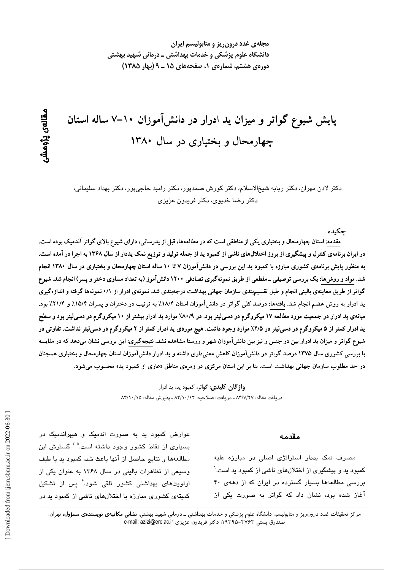مجلهی غدد درون ریز و متابولیسم ایران دانشگاه علوم پزشکی و خدمات بهداشتی ــ درمانی شهید بهشتی دورهی هشتم، شمارهی ۱، صفحههای ۱۵ ـ ۹ (بهار ۱۳۸۵)

# پایش شیوع گواتر و میزان ید ادرار در دانشآموزان ۱۰–۷ ساله استان چهارمحال و بختیاری در سال ۱۳۸۰

دکتر لادن مهران، دکتر ربابه شیخالاسلام، دکتر کورش صمدپور، دکتر رامبد حاجیپور، دکتر بهداد سلیمانی، دکتر رضا خدیوی، دکتر فریدون عزیزی

جكىدە

مقدمه: استان چهارمحال و بختیاری یکی از مناطقی است که در مطالعهها، قبل از یدرسانی، دارای شیوع بالای گواتر آندمیک بوده است. در ایران برنامهی کنترل و پیشگیری از بروز اختلالهای ناشی از کمبود ید از جمله تولید و توزیع نمک یددار از سال ۱۳۶۸ به اجرا در آمده است. به منظور پایش برنامهی کشوری مبارزه با کمبود ید این بررسی در دانشآموزان ۷ تا ۱۰ ساله استان چهارمحال و بختیاری در سال ۱۳۸۰ انجام شد. مواد و روش۵ا: یک بررسی توصیفی ــ مقطعی از طریق نمونهگیری تصادفی ۱۲۰۰ دانشآموز (به تعداد مساوی دختر و پسر) انجام شد. شیوع گواتر از طریق معاینهی بالینی انجام و طبق تقسیمبندی سازمان جهانی بهداشت درجهبندی شد. نمونهی ادرار از ۰/۱ نمونهها گرفته و اندازهگیری ید ادرار به روش هضم انجام شد. یافتهها: درصد کلی گواتر در دانشآموزان استان ۱۸/۴٪ به ترتیب در دختران و پسران ۱۵/۴٪ و ۲۱/۴٪ بود. میانهی ید ادرار در جمعیت مورد مطالعه ۱۷ میکروگرم در دسیلیتر بود. در ۸۰/۹٪ موارد ید ادرار بیشتر از ۱۰ میکروگرم در دسیلیتر بود و سطح ید ادرار کمتر از ۵ میکروگرم در دسی[یتر در ۲/۵٪ موارد وجود داشت. هیچ موردی ید ادرار کمتر از ۲ میکروگرم در دسی[یتر نداشت. تفاوتی در شیوع گواتر و میزان ید ادرار بین دو جنس و نیز بین دانشآموزان شهر و روستا مشاهده نشد. نتیجهگیری: این بررسی نشان میدهد که در مقایسه با بررسی کشوری سال ۱۳۷۵ درصد گواتر در دانشآموزان کاهش معنیداری داشته و ید ادرار دانشآموزان استان چهارمحال و بختیاری همچنان در حد مطلوب سازمان جهانی بهداشت است. بنا بر این استان مرکزی در زمرهی مناطق «عاری از کمبود ید» محسوب می شود.

> **واژگان کلیدی**: گواتر، کمبود ید، ید ادرار دريافت مقاله: ٨۴/٧/٢٧ ـ دريافت اصلاحيه: ٨۴/١٠/١٣ ـ يذيرش مقاله: ٨۴/١٠/١٥

#### مقدمه

مصرف نمک پددار استراتژی اصلی در مبارزه علیه کمبود ید و پیشگیری از اختلالهای ناشی از کمبود ید است.` بررسی مطالعهها بسیار گسترده در ایران که از دههی ۴۰ آغاز شده بود، نشان داد که گواتر به صورت یکی از

عوارض کمبود بد به صورت اندمیک و هیپراندمیک در بسیاری از نقاط کشور وجود داشته است.<sup>۵-۲</sup> گسترش این مطالعهها و نتايج حاصل از آنها باعث شد، كمبود يد با طيف وسیعی از تظاهرات بالینی در سال ۱۳۶۸ به عنوان یکی از اولویتهای بهداشتی کشور تلقی شود. ٔ پس از تشکیل کمیتهی کشوری مبارزه با اختلالهای ناشی از کمبود بد در

مرکز تحقیقات غدد درون٫یز و متابولیسم، دانشگاه علوم پزشکی و خدمات بهداشتی ــ درمانی شهید بهشتی، **نشانی مکاتبهی نویسندهی مسؤول:** تهران، صندوق يستى ۴۷۶۳-۱۹۳۹۵؛ دكتر فريدون عزيزى e-mail: azizi@erc.ac.ir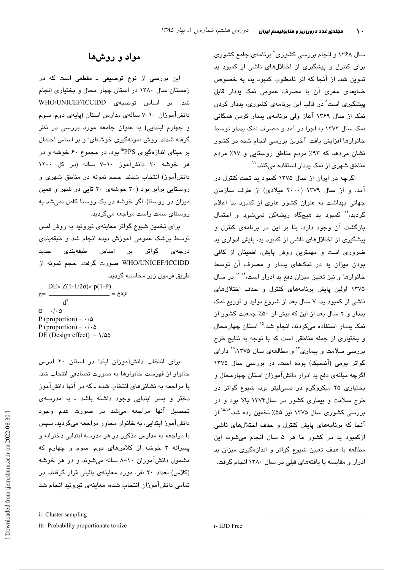سال ۱۳۶۸ و انجام بررسی کشوری<sup>۷</sup> برنامهی جامع کشوری برای کنترل و پیشگیری از اختلالهای ناشی از کمبود ید تدوین شد. از آنجا که اثر نامطلوب کمبود ید، به خصوص ضایعهی مغزی آن با مصرف عمومی نمک یددار قابل پیشگیری است<sup>^</sup> در قالب این برنامهی کشوری، پددار کردن نمک از سال ۱۳۶۹ آغاز ولی برنامهی پددار کردن همگانی نمک سال ۱۳۷۳ به اجرا در آمد و مصرف نمک پددار توسط خانوارها افزایش یافت. آخرین بررسی انجام شده در کشور نشان می دهد که ۹۳٪ مردم مناطق روستایی و ۹۷٪ مردم مناطق شهری از نمک یددار استفاده میکنند.''

اگرچه در ایران از سال ۱۳۷۵ کمبود بد تحت کنترل در آمد، و از سال ۱۳۷۹ (۲۰۰۰ میلادی) از طرف سازمان جهانی بهداشت به عنوان کشور عاری از کمبود پد<sup>:</sup> اعلام گردید،<sup>۱۲</sup> کمبود ید هیچگاه ریشهکن نمیشود و احتمال بازگشت آن وجود دارد. بنا بر این در برنامهی کنترل و پیشگیری از اختلالهای ناشی از کمبود ید، پایش ادواری ید ضروری است و مهمترین روش پایش، اطمینان از کافی بودن میزان بد در نمکهای بددار و مصرف آن توسط خانوارها و نیز تعیین میزان دفع ید ادرار است،<sup>۱۳٬۱۴</sup> در سال ۱۳۷۵ اولین پایش برنامههای کنترل و حذف اختلالهای ناشی از کمبود به، ۷ سال بعد از شروع تولید و توزیع نمک یددار و ۲ سال بعد از این که بیش از ۵۰٪ جمعیت کشور از نمک پددار استفاده میکردند، انجام شد.<sup>۱۵</sup> استان چهارمحال و بختیاری از جمله مناطقی است که با توجه به نتایج طرح بررسی سلامت و بیماری<sup>16</sup> و مطالعهی سال ۱۳۷۵<sup>۱۵</sup> دارای گواتر بومی (آندمیک) بوده است. در بررسی سال ۱۳۷۵ اگرچه مبانهی دفع بد ادرار دانشآموزان استان چهارمحال و بختیاری ۲۵ میکروگرم در دسی لیتر بود، شیوع گواتر در طرح سلامت و بیماری کشور در سال۱۳۷۴ بالا بود و در بررسی کشوری سال ۱۳۷۵ نیز ۵۵٪ تخمین زده شد.<sup>۱۵،۱۶</sup> از آنجا که برنامههای پایش کنترل و حذف اختلالهای ناشی ازکمبود ید در کشور ما هر ۵ سال انجام میشود، این مطالعه با هدف تعیین شیوع گواتر و اندازهگیری میزان ید ادرار و مقایسه با یافتههای قبلی در سال ۱۳۸۰ انجام گرفت.

## مواد و روشها

این بررسی از نوع توصیفی ـ مقطعی است که در زمستان سال ۱۳۸۰ در استان چهار محال و بختیاری انجام شد. بر اساس توصیهی WHO/UNICEF/ICCIDD دانشآموزان ۱۰-۷ سالهی مدارس استان (پایهی دوم، سوم و چهارم ابتدایی) به عنوان جامعه مورد بررسی در نظر گرفته شدند. روش نمونهگیری خوشهای<sup>ة</sup> و بر اساس احتمال بر مبنای اندازهگیری PPS" بود. در مجموع ۶۰ خوشه و در هر خوشه ۲۰ دانشآموز ۱۰–۷ ساله (در کل ۱۲۰۰ دانشآموز) انتخاب شدند. حجم نمونه در مناطق شهری و روستانی برابر بود (۳۰ خوشهی ۲۰ تابی در شهر و همین میزان در روستا). اگر خوشه در یک روستا کامل نمیشد به روستای سمت راست مراجعه میگردید.

برای تخمین شیوع گواتر معاینهی تیروئید به روش لمس توسط پزشک عمومی آموزش دیده انجام شد و طبقهبندی گواتر بر اساس طبقهبندی درجەى حديد WHO/UNICEF/ICCIDD صورت گرفت. حجم نمونه از طريق فرمول زير محاسبه گرديد.

DEx  $Z(1-1/2\alpha)$  × p(1-P)  $= \Delta 98$  $n =$  $d^{\gamma}$  $\alpha = \cdot / \cdot \Delta$ P (proportion) =  $\cdot/\Delta$ P (proportion) =  $\cdot/\cdot \Delta$ DE (Design effect) =  $\sqrt{\omega}$ 

برای انتخاب دانشآموزان ابتدا در استان ۲۰ آدرس خانوار از فهرست خانوارها به صورت تصادفی انتخاب شد. با مراجعه به نشانیهای انتخاب شده ـ که در آنها دانشآموز دختر و پسر ابتدایی وجود داشته باشد ـ به مدرسهی تحصيل آنها مراجعه مى شد در صورت عدم وجود دانشآموز ابتدایی، به خانوار مجاور مراجعه میگردید. سپس با مراجعه به مدارس مذکور در هر مدرسه ابتدایی دخترانه و یسرانه ۳ خوشه از کلاسهای دوم، سوم و چهارم که مشمول دانشآموزان ۱۰-۸ ساله میشوند و در هر خوشه (کلاس) تعداد ۲۰ نفر، مورد معاینهی بالینی قرار گرفتند. در تمامی دانشآموزان انتخاب شده، معاینهی تیروئید انجام شد

ii- Cluster sampling

iii- Probability proportionate to size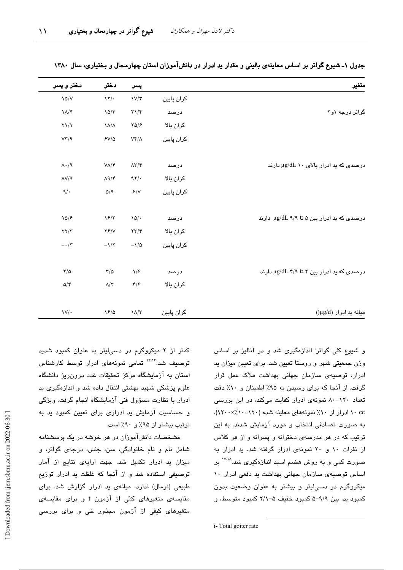| متغير                                      |            | پسر                                     | دختر                                            | دختر و پسر                        |
|--------------------------------------------|------------|-----------------------------------------|-------------------------------------------------|-----------------------------------|
|                                            | كران پايين | $\frac{1}{\sqrt{\pi}}$                  | $\gamma$                                        | $\lambda \Delta/V$                |
| گواتر درجه ۱و۲                             | درصد       | $\Upsilon \Upsilon$                     | $10/\mathcal{r}$                                | $\Lambda/\mathfrak{r}$            |
|                                            | كران بالا  | YQ/F                                    | $\lambda/\lambda$                               | $\Upsilon \setminus \Lambda$      |
|                                            | كران پايين | $\mathsf{V}\mathsf{f}/\mathsf{\Lambda}$ | $5V/\Delta$                                     | VT/9                              |
| درصدی که ید ادرار بالای ۱۰ µg/dL دارند     | درصد       | $\Lambda\Upsilon/\Upsilon$              | $V/\Upsilon$                                    | $\Lambda \cdot / \mathcal{A}$     |
|                                            | كران بالا  | 97/                                     | $\Lambda$ 1/۴                                   | $\Lambda V / 9$                   |
|                                            | كران پايين | $\mathcal{F}/\mathsf{V}$                | $\Delta/\mathop{\rm l\negthinspace q}\nolimits$ | $\mathcal{A}/\mathcal{A}$         |
| درصدی که ید ادرار بین ۵ تا ۹/۹ µg/dL دارند | درصد       | $\lambda \Delta / \cdot$                | $\sqrt{2/\tau}$                                 | 10/5                              |
|                                            | كران بالا  | $\mathbf{Y} \mathbf{Y} / \mathbf{Y}$    | YY/Y                                            | $\mathbf{Y}\mathbf{Y}/\mathbf{Y}$ |
|                                            | كران پايين | $-\lambda/\Delta$                       | $-\lambda/\tau$                                 | $-\cdot/\tau$                     |
| درصدی که ید ادرار بین ۲ تا ۳/۹ µg/dL دارند | درصد       | $\sqrt{2}$                              | $\tau/\vartriangle$                             | $\sqrt{\Delta}$                   |
|                                            | كران بالا  | $\mathfrak{r}/\mathfrak{r}$             | $\Lambda/\Upsilon$                              | $\Delta/\mathfrak{r}$             |
| $(\mu g/d)$ میانه ید ادرار                 | گران پایین | $\Lambda/\tau$                          | $\frac{5}{2}$                                   | $\mathsf{V}/\cdot$                |

جدول ۱ـ شیوع گواتر بر اساس معاینهی بالینی و مقدار ید ادرار در دانشآموزان استان چهارمحال و بختیاری، سال ۱۳۸۰

و شیوع کلی گواتر<sup>:</sup> اندازهگیری شد و در آنالیز بر اساس وزن جمعیتی شهر و روستا تعیین شد. برای تعیین میزان ید ادرار، توصیهی سازمان جهانی بهداشت ملاک عمل قرار گرفت. از آنجا که برای رسیدن به ۹۵٪ اطمینان و ۱۰٪ دقت تعداد ۱۲۰–۸۰ نمونهی ادرار کفایت میکند، در این بررسی ۰c ادرار از ۱۰٪ نمونههای معاینه شده (۱۲۰=۱۲۰٪۱۲۰۰). به صورت تصادفی انتخاب و مورد آزمایش شدند. به این ترتیب که در هر مدرسهی دخترانه و پسرانه و از هر کلاس از نفرات ١٠ و ٢٠ نمونهى ادرار گرفته شد. يد ادرار به صورت کمی و به روش هضم اسید اندازهگیری شد.<sup>۱۷،۱۸</sup> بر اساس توصیهی سازمان جهانی بهداشت ید دفعی ادرار ١٠ میکروگرم در دسهایتر و بیشتر به عنوان وضعیت بدون کمبود ید، بین ۹/۹–۵ کمبود خفیف ۵–۲/۱ کمبود متوسط، و

کمتر از ۲ میکروگرم در دسی لیتر به عنوان کمبود شدید توصیف شد.<sup>۱۳،۱۴</sup> تمامی نمونههای ادرار توسط کارشناس استان به آزمایشگاه مرکز تحقیقات غدد درون ریز دانشگاه علوم پزشکی شهید بهشتی انتقال داده شد و اندازهگیری ید ادرار با نظارت مسؤول فنی آزمایشگاه انجام گرفت. ویژگی و حساسیت آزمایش بد ادراری برای تعیین کمبود بد به ترتیب بیشتر از ۹۵٪ و ۹۰٪ است.

مشخصات دانشآموزان در هر خوشه در یک پرسشنامه شامل نام و نام خانوادگی، سن، جنس، درجهی گواتر، و .<br>میزان بد ادرار تکمیل شد. جهت ارایهی نتایج از آمار توصیفی استفاده شد و از آنجا که غلظت ید ادرار توزیع طبیعی (نرمال) ندارد، میانهی ید ادرار گزارش شد. برای مقایسهی متغیرهای کمّی از آزمون t و برای مقایسهی م**تغی**رهای کیفی از آزمون مجذور خی و برای بررسی

i-Total goiter rate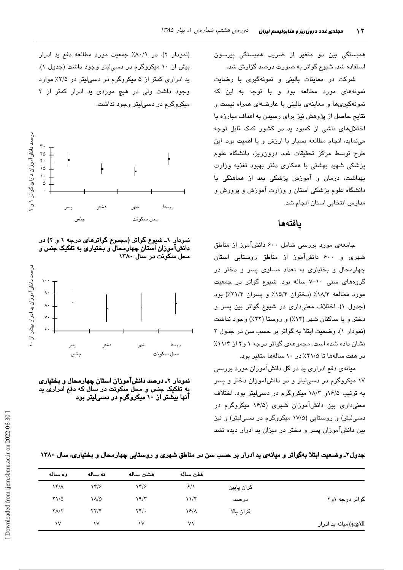همبستگی بین دو متغیر از ضریب همبستگی پیرسون استفاده شد. شیوع گواتر به صورت درصد گزارش شد.

شرکت در معاینات بالینی و نمونهگیری با رضایت .<br>نمونهها*ی* مورد مطالعه بود و با توجه به این که نمونهگیریها و معاینهی بالینی با عارضهای همراه نیست و نتایج حاصل از پژوهش نیز برای رسیدن به اهداف مبارزه با اختلالهای ناشی از کمبود ید در کشور کمک قابل توجه مینماید، انجام مطالعه بسیار با ارزش و با اهمیت بود. این طرح توسط مرکز تحقیقات غدد درون٫ریز، دانشگاه علوم پزشکی شهید بهشتی با همکاری دفتر بهبود تغذیه وزارت بهداشت، درمان و آموزش پزشکی بعد از هماهنگی با دانشگاه علوم پزشکی استان و وزارت آموزش و پرورش و مدارس انتخابی استان انجام شد.

#### بافتهها

جامعهی مورد بررسی شامل ۶۰۰ دانشآموز از مناطق شهری و ۶۰۰ دانشآموز از مناطق روستایی استان چهارمحال و بختیاری به تعداد مساوی پسر و دختر در گروههای سنی ١٠-٧ ساله بود. شيوع گواتر در جمعيت مورد مطالعه ۱۸/۴٪ (دختران ۱۵/۴٪ و پسران ۲۱/۴٪) بود (جدول ۱). اختلاف معنیداری در شیوع گواتر بین پسر و دختر و یا ساکنان شهر (۱۴٪) و روستا (۲۲٪) وجود نداشت (نمودار ۱). وضعت ابتلا به گواتر بر حسب سن در جدول ۲ نشان داده شده است. مجموعهی گواتر درجه ۱ و۲ از ۱۱/۴٪ در هفت سالهها تا ۲۱/۵٪ در ۱۰ سالهها متغیر بود.

میانهی دفع ادراری ید در کل دانشآموزان مورد بررسی ۱۷ میکروگرم در دسهایتر و در دانشآموزان دختر و پسر به ترتیب ۱۶/۵و ۱۸/۳ میکروگرم در دسمیلیتر بود. اختلاف معنی داری بین دانشآموزان شهری (۱۶/۵ میکروگرم در دسه ٍلیتر) و روستایی (۱۷/۵ میکروگرم در دسهالیتر) و نیز بین دانشآموزان پسر و دختر در میزان بد ادرار دیده نشد

(نمودار ۲). در ۸۰/۹٪ جمعیت مورد مطالعه دفع ید ادرار بیش از ۱۰ میکروگرم در دسی لیتر وجود داشت (جدول ۱). ید ادراری کمتر از ۵ میکروگرم در دسی لیتر در ۲/۵٪ موارد وجود داشت ولی در هیچ موردی ید ادرار کمتر از ۲ میکروگرم در دسے لیتر وجود نداشت.



نمودار ۱ـ شیوع گواتر (مجموع گواترهای درجه ۱ و ۲) در دانشآموزان استان چهارمحال ّو بختیاری به تفکیک جنس و محل سکونت در سال ۱۳۸۰



نمودار ۲ـ درصد دانشآموزان استان چهارمحال و بختیاری به تفکیک جنس و محل سکونت در سال که دفع ادراری پد آنها بیشتر از ۱۰ میکروگرم در دسیلیتر بود

|  | جدول۲ـ وضعیت ابتلا بهگواتر و میانهی ید ادرار بر حسب سن در مناطق شهری و روستایی چهارمحال و بختیاری، سال ۱۳۸۰ |  |  |  |  |  |  |  |  |  |  |  |
|--|-------------------------------------------------------------------------------------------------------------|--|--|--|--|--|--|--|--|--|--|--|
|--|-------------------------------------------------------------------------------------------------------------|--|--|--|--|--|--|--|--|--|--|--|

|                       |            | هفت ساله       | هشت ساله                           | نه ساله                           | ده ساله             |
|-----------------------|------------|----------------|------------------------------------|-----------------------------------|---------------------|
|                       | كران پايين | 5/1            | $\gamma$                           | $\gamma$                          | $\lambda f/\lambda$ |
| گواتر درجه ۱و۲        | درصد       | $11/\zeta$     | 19/7                               | ۱۸/۵                              | $Y\setminus Q$      |
|                       | كران بالا  | $\frac{12}{1}$ | $\mathbf{Y} \mathbf{Y}/\mathbf{Y}$ | $\mathbf{Y}\mathbf{Y}/\mathbf{Y}$ | $Y/\Upsilon$        |
| μg/dl(میانه ید ادرار) |            | ۷١             | ١٧                                 | ١V                                | ١V                  |
|                       |            |                |                                    |                                   |                     |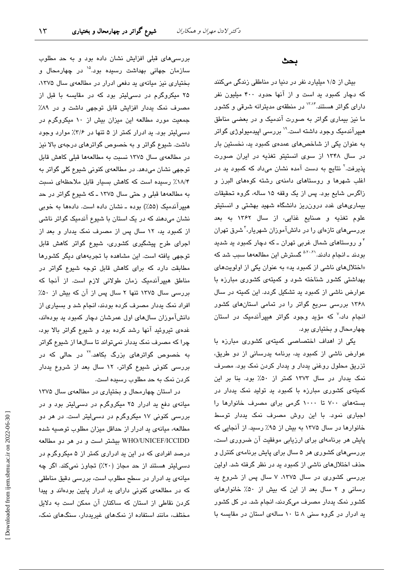بررسیهای قبلی افزایش نشان داده بود و به حد مطلوب سازمان جهانی بهداشت رسبده بود.<sup>۱۵</sup> در چهارمحال و بختیاری نیز میانهی ید دفعی ادرار در مطالعهی سال ۱۳۷۵، ۲۵ میکروگرم در دسیلیتر بود که در مقایسه با قبل از مصرف نمک یددار افزایش قابل توجهی داشت و در ۸۹٪ جمعیت مورد مطالعه این میزان بیش از ۱۰ میکروگرم در دسهایتر بود. ید ادرار کمتر از ۵ تنها در ۳/۶٪ موارد وجود داشت. شیوع گواتر و به خصوص گواترهای درجهی بالا نیز در مطالعهى سال ١٣٧۵ نسبت به مطالعهها قبلى كاهش قابل توجهی نشان میدهد. در مطالعهی کنونی شیوع کلی گواتر به ١٨/۴٪ رسیده است كه كاهش بسیار قابل ملاحظهای نسبت به مطالعهها قبلی و حتی سال ۱۳۷۵ ـ که شیوع گواتر در حد هیپرآندمیک (۵۵٪) بوده ـ نشان داده است. دادهها به خوبی نشان میدهند که در یک استان با شیوع آندمیک گواتر ناشی از کمبود ید، ١٢ سال پس از مصرف نمک یددار و بعد از اجرای طرح پیشگیری کشوری، شیوع گواتر کاهش قابل توجهی یافته است. این مشاهده با تجربههای دیگر کشورها مطابقت دارد که برای کاهش قابل توجه شیوع گواتر در مناطق هیپرآندمیک زمان طولانی لازم است. از آنجا که بررسی سال ۱۳۷۵ تنها ۲ سال پس از آن که بیش از ۵۰٪ افراد نمک پددار مصرف کرده بودند، انجام شد و بسیاری از دانشآموزان سالهای اول عمرشان دچار کمبود ید بودهاند، غدهی تیروئید آنها رشد کرده بود و شیوع گواتر بالا بود، چرا که مصرف نمک پددار نمیتواند تا سالها از شپوع گواتر به خصوص گواتر*ه*ای بزرگ بکاهد.<sup>۲۲</sup> در حالی که در بررسی کنونی شیوع گواتر، ۱۲ سال بعد از شروع پددار کردن نمک به حد مطلوب رسیده است.

در استان چهارمحال و بختیاری در مطالعهی سال ۱۳۷۵ میانهی دفع ید ادرار ۲۵ میکروگرم در دسی لیتر بود و در بررسی کنونی ۱۷ میکروگرم در دسی!یتر است. در هر دو مطالعه، میانهی ید ادرار از حداقل میزان مطلوب توصیه شده WHO/UNICEF/ICCIDD بیشتر است و در هر دو مطالعه درصد افرادی که در این ید ادراری کمتر از ۵ میکروگرم در دسی!پتر هستند از حد مجاز (۲۰٪) تجاوز نمیکند. اگر چه میانهی ید ادرار در سطح مطلوب است، بررسی دقیق مناطقی که در مطالعهی کنونی دارای ید ادرار پایین بودهاند و پیدا کردن نقاطی از استان که ساکنان آن ممکن است به دلایل مختلف، مانند استفاده از نمکهای غیریددار، سنگهای نمک،

### بحث

بیش از ۱/۵ میلیارد نفر در دنیا در مناطقی زندگی میکنند که دچار کمبود ید است و از آنها حدود ۴۰۰ میلیون نفر دارا*ی* گواتر هستند.<sup>۱۳۸۴</sup> در منطقهی مدیترانه شرقی و کشور ما نیز بیماری گواتر به صورت آندمیک و در بعضی مناطق هیپرآندمیک وجود داشته است.'' بررسی اپیدمیولوژی گواتر به عنوان یکی از شاخصهای عمدهی کمبود ید، نخستین بار در سال ۱۳۴۸ از سوی انستیتو تغذیه در ایران صورت یذیرفت.<sup>۲</sup> نتایج به دست آمده نشان میداد که کمبود ید در اغلب شهرها و روستاهای دامنهی رشته کوههای البرز و زاگرس شایع بود. پس از یک وقفه ۱۵ ساله، گروه تحقیقات بیماریهای غدد درون ریز دانشگاه شهید بهشتی و انستیتو علوم تغذيه و صنايع غذايى، از سال ۱۳۶۲ به بعد بررسیهای تازهای را در دانشآموزان شهریار،<sup>۳</sup>شرق تهران <sup>۴</sup> و روستا*ه*ای شمال غربی تهران ــ که دچار کمبود ید شدید بودند ـ انجام دادند.<sup>۵،۲۰،۲۱</sup> گسترش این مطالعهها سبب شد که «اختلالهای ناشی از کمبود ید» به عنوان یکی از اولویتهای بهداشتی کشور شناخته شود و کمیتهی کشوری مبارزه با عوارض ناشی از کمبود ید تشکیل گردد. این کمیته در سال ۱۳۶۸ بررسی سریع گواتر را در تمامی استانهای کشور انجام داد،<sup>۷</sup> که مؤید وجود گواتر هیپرآندمیک در استان چهارمحال و بختیاری بود.

یکی از اهداف اختصاصی کمیتهی کشوری مبارزه با عوارض ناشی از کمبود ید، برنامه یدرسانی از دو طریق، تزریق محلول روغنی یددار و یددار کردن نمک بود. مصرف نمک یددار در سال ۱۳۷۳ کمتر از ۵۰٪ بود. بنا بر این کمیتهی کشوری مبارزه با کمبود ید تولید نمک یددار در بستههای ۷۰۰ تا ۱۰۰۰ گرمی برای مصرف خانوارها را اجباری نمود. با این روش مصرف نمک یددار توسط خانوارها در سال ۱۳۷۵ به بیش از ۹۵٪ رسید. از آنجایی که پایش هر برنامهای برای ارزیابی موفقیت آن ضروری است، بررسیهای کشوری هر ۵ سال برای پایش برنامهی کنترل و حذف اختلالهای ناشی از کمبود ید در نظر گرفته شد. اولین بررسی کشوری در سال ۱۳۷۵، ۷ سال پس از شروع ید رسانی و ٢ سال بعد از این كه بیش از ۵۰٪ خانوارهای کشور نمک یددار مصرف میکردند، انجام شد. در کل کشور ید ادرار در گروه سنی ۸ تا ۱۰ سالهی استان در مقایسه با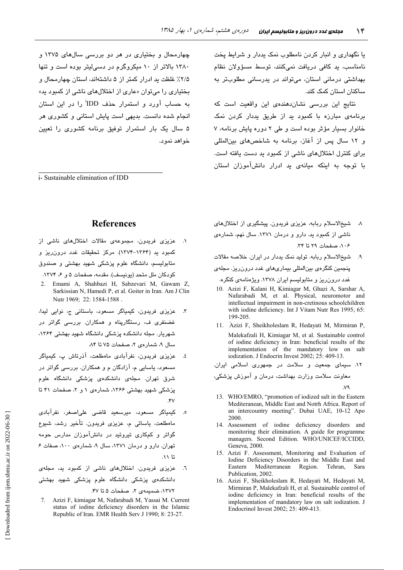چهارمحال و بختیاری در هر دو بررسی سالهای ۱۳۷۵ و ۱۳۸۰ بالاتر از ۱۰ میکروگرم در دسه لیتر بوده است و تنها ۲/۵٪ غلظت ید ادرار کمتر از ۵ داشتهاند، استان چهارمحال و بختیاری را میتوان «عاری از اختلالهای ناشی از کمبود ید» به حساب آورد و استمرار حذف IDD<sup>i</sup> را در این استان انجام شده دانست. بدیهی است پایش استانی و کشوری هر ۵ سال یک بار استمرار توفیق برنامه کشوری را تعیین خو آهد نمو د.

*i*-Sustainable elimination of IDD

یا نگهداری و انبار کردن نامطلوب نمک پددار و شرایط پخت نامناسب، ید کافی دریافت نمیکنند، توسط مسؤولان نظام بهداشتی درمانی استان، میتواند در پدرسانی مطلوبتر به ساکنان استان کمک کند.

نتایج این بررسی نشاندهندهی این واقعیت است که برنامهی مبارزه با کمبود ید از طریق یددار کردن نمک خانوار بسیار مؤثر بوده است و طی ٢ دوره پایش برنامه، ٧ و ١٢ سال پس از آغاز، برنامه به شاخص های بین المللی برای کنترل اختلالهای ناشی از کمبود ید دست یافته است. با توجه به اینکه میانهی ید ادرار دانشآموزان استان

### **References**

- ١. عزیزی فریدون، مجموعهی مقالات اختلالهای ناشی از کمبود بد (۱۳۶۴–۱۳۷۴). مرکز تحقیقات غدد درون ریز و متابولیسم، دانشگاه علوم پزشکی شهید بهشتی و صندوق کودکان ملل متحد (یونیسف). مقدمه، صفحات ۵ و ۶، ۱۳۷۴.
- Emami A, Shahbazi H, Sabzevari M, Gawam Z, Sarkissian N, Hamedi P, et al. Goiter in Iran. Am J Clin Nutr 1969; 22: 1584-1588.
- عزیزی فریدون، کیمیاگر مسعود، باستانی ج، نوایی لیدا،  $\mathbf{r}$ غضنفری ف، رستگارپناه و همکاران. بررسی گواتر در شهریار. مجله دانشکده پزشکی دانشگاه شهید بهشتی ۱۳۶۴، سال ۹، شمارهی ۲، صفحات ۷۵ تا ۸۴.
- عزیزی فریدون، نفرآبادی ماهطلعت، آذرتاش پ، کیمیاگر ٤. مسعود، پاسایی م، آزادگان م و همکاران. بررسی گواتر در شرق تهران. مجلهی دانشکدهی پزشکی دانشگاه علوم یزشکی شهید بهشتی ۱۳۶۶، شمارهی ۱ و ۲، صفحات ۴۱ تا  $.5V$
- کیمیاگر مسعود، میرسعید قاضی علی<mark>اصغر، نفرآبادی</mark> ماەطلعت، ياسائى م، عزيزى فريدون. تأخير رشد، شيوع گواتر و کمکاری تیروئید در دانشآموزان مدارس حومه تهران. دارو و درمان ١٣٧١، سال ٩، شمارهي ١٠٠، صفات ع تا ۱۱.
- عزیزی فریدون. اختلالهای ناشی از کمبود ید، مجلهی  $\mathcal{L}$ . دانشکدهی پزشکی دانشگاه علوم پزشکی شه<mark>ید بهشت</mark>ی ١٣٧٢، ضميمهى ٢، صفحات ۵ تا ۴۷.
- 7. Azizi F, kimiagar M, Nafarabadi M, Yassai M. Current status of iodine deficiency disorders in the Islamic Republic of Iran. EMR Health Serv J 1990; 8: 23-27.
- ٨. شيخالاسلام ربابه، عزيزي فريدون. پيشگيري از اختلالهاي ناشی از کمبود ید. دارو و درمان ۱۳۷۱. سال نهم، شمارهی ٠٠۶، صفحات ٢٩ تا ٣٣.
- شيخ الاسلام ربابه. توليد نمک يددار در ايران. خلاصه مقالات  $\cdot$ پنجمین کنگرهی بینالمللی بیماریهای غدد درون ریز. مجلهی غدد درون ریز و متابولیسم ایران ۱۳۷۸. ویژهنامهی کنگره.
- 10. Azizi F, Kalani H, Kimiagar M, Ghazi A, Sarshar A, Nafarabadi M, et al. Physical, neuromotor and intellectual impairment in non-cretinous schoolchildren with iodine deficiency. Int J Vitam Nutr Res 1995; 65: 199-205
- 11. Ázizi F, Sheikholeslam R, Hedayati M, Mirmiran P, Malekafzali H, Kimiagar M, et al. Sustainable control of iodine deficiency in Iran: beneficial results of the implementation of the mandatory low on salt iodization. J Endocrin Invest 2002; 25: 409-13.
- ۱۲. سیمای جمعیت و سلامت در جمهوری اسلامی ایران.
- معاونت سلامت وزارت بهداشت، درمان و آموزش پزشکی،
- 13. WHO/EMRO, "promotion of iodized salt in the Eastern Mediteranean, Middle East and Notrh Africa. Report of an intercountry meeting". Dubai UAE, 10-12 Apo 2000
- 14. Assessment of iodine deficiency disorders and monitoring their elimination. A guide for programme managers. Second Edition. WHO/UNICEF/ICCIDD, Geneva, 2000.
- 15. Azizi F. Assessment, Monitoring and Evaluation of Iodine Deficiency Disorders in the Middle East and Mediterranean Region. Tehran, Eastern - Sara Publication, 2002.
- 16. Azizi F. Sheikholeslam R. Hedavati M. Hedavati M. Mirmiran P, Malekafzali H, et al. Sustainable control of iodine deficiency in Iran: beneficial results of the implementation of mandatory law on salt iodization. J Endocrinol Invest 2002; 25: 409-413.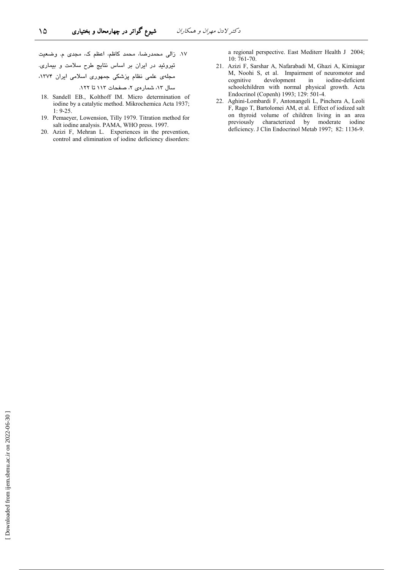١٧. زالي محمدرضا، محمد كاظم، اعظم ك، مجدى م. وضعيت تیروئید در ایران بر اساس نتایج طرح سلامت و بیماری. مجلهی علمی نظام پزشکی جمهوری اسلامی ایران ۱۳۷۴، سال ١٢، شمارهي ٢، صفحات ١١٣ تا ١٢٢.

۱۵

- 18. Sandell EB., Kolthoff IM. Micro determination of iodine by a catalytic method. Mikrochemica Acta 1937;  $1: 9-25.$
- 19. Pemaeyer, Lowension, Tilly 1979. Titration method for salt iodine analysis. PAMA, WHO press. 1997.
- 20. Azizi F, Mehran L. Experiences in the prevention, control and elimination of iodine deficiency disorders:

a regional perspective. East Mediterr Health J 2004; 10:761-70.

- 21. Azizi F, Sarshar A, Nafarabadi M, Ghazi A, Kimiagar M, Noohi S, et al. Impairment of neuromotor and development iodine-deficient cognitive in schoolchildren with normal physical growth. Acta Endocrinol (Copenh) 1993; 129: 501-4.
- 22. Aghini-Lombardi F, Antonangeli L, Pinchera A, Leoli F, Rago T, Bartolomei AM, et al. Effect of iodized salt on thyroid volume of children living in an area previously characterized by moderate iodine deficiency. J Clin Endocrinol Metab 1997; 82: 1136-9.